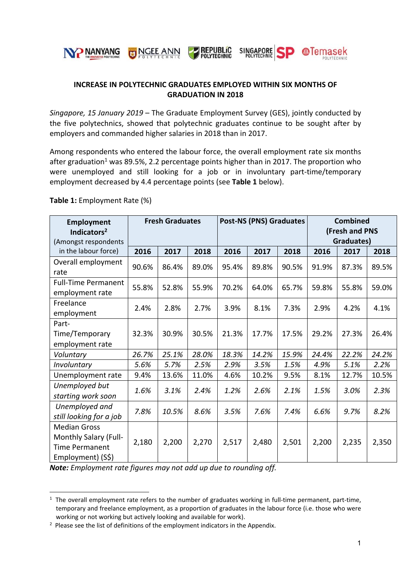

# **INCREASE IN POLYTECHNIC GRADUATES EMPLOYED WITHIN SIX MONTHS OF GRADUATION IN 2018**

*Singapore, 15 January 2019* – The Graduate Employment Survey (GES), jointly conducted by the five polytechnics, showed that polytechnic graduates continue to be sought after by employers and commanded higher salaries in 2018 than in 2017.

Among respondents who entered the labour force, the overall employment rate six months after graduation<sup>1</sup> was 89.5%, 2.2 percentage points higher than in 2017. The proportion who were unemployed and still looking for a job or in involuntary part-time/temporary employment decreased by 4.4 percentage points (see **Table 1** below).

| Employment<br>Indicators <sup>2</sup><br>(Amongst respondents                                     | <b>Fresh Graduates</b> |       |       | <b>Post-NS (PNS) Graduates</b> |       |       | <b>Combined</b><br>(Fresh and PNS<br>Graduates) |       |       |
|---------------------------------------------------------------------------------------------------|------------------------|-------|-------|--------------------------------|-------|-------|-------------------------------------------------|-------|-------|
| in the labour force)                                                                              | 2016                   | 2017  | 2018  | 2016                           | 2017  | 2018  | 2016                                            | 2017  | 2018  |
| Overall employment<br>rate                                                                        | 90.6%                  | 86.4% | 89.0% | 95.4%                          | 89.8% | 90.5% | 91.9%                                           | 87.3% | 89.5% |
| <b>Full-Time Permanent</b><br>employment rate                                                     | 55.8%                  | 52.8% | 55.9% | 70.2%                          | 64.0% | 65.7% | 59.8%                                           | 55.8% | 59.0% |
| Freelance<br>employment                                                                           | 2.4%                   | 2.8%  | 2.7%  | 3.9%                           | 8.1%  | 7.3%  | 2.9%                                            | 4.2%  | 4.1%  |
| Part-<br>Time/Temporary<br>employment rate                                                        | 32.3%                  | 30.9% | 30.5% | 21.3%                          | 17.7% | 17.5% | 29.2%                                           | 27.3% | 26.4% |
| Voluntary                                                                                         | 26.7%                  | 25.1% | 28.0% | 18.3%                          | 14.2% | 15.9% | 24.4%                                           | 22.2% | 24.2% |
| Involuntary                                                                                       | 5.6%                   | 5.7%  | 2.5%  | 2.9%                           | 3.5%  | 1.5%  | 4.9%                                            | 5.1%  | 2.2%  |
| Unemployment rate                                                                                 | 9.4%                   | 13.6% | 11.0% | 4.6%                           | 10.2% | 9.5%  | 8.1%                                            | 12.7% | 10.5% |
| Unemployed but<br>starting work soon                                                              | 1.6%                   | 3.1%  | 2.4%  | 1.2%                           | 2.6%  | 2.1%  | 1.5%                                            | 3.0%  | 2.3%  |
| Unemployed and<br>still looking for a job                                                         | 7.8%                   | 10.5% | 8.6%  | 3.5%                           | 7.6%  | 7.4%  | 6.6%                                            | 9.7%  | 8.2%  |
| <b>Median Gross</b><br><b>Monthly Salary (Full-</b><br><b>Time Permanent</b><br>Employment) (S\$) | 2,180                  | 2,200 | 2,270 | 2,517                          | 2,480 | 2,501 | 2,200                                           | 2,235 | 2,350 |

#### **Table 1:** Employment Rate (%)

1

*Note: Employment rate figures may not add up due to rounding off.*

 $1$  The overall employment rate refers to the number of graduates working in full-time permanent, part-time, temporary and freelance employment, as a proportion of graduates in the labour force (i.e. those who were working or not working but actively looking and available for work).

<sup>&</sup>lt;sup>2</sup> Please see the list of definitions of the employment indicators in the Appendix.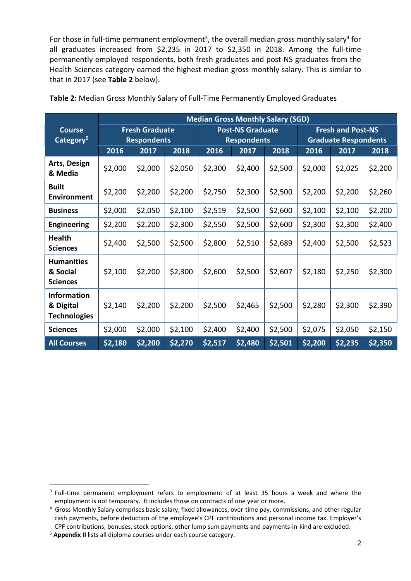For those in full-time permanent employment<sup>3</sup>, the overall median gross monthly salary<sup>4</sup> for all graduates increased from \$2,235 in 2017 to \$2,350 in 2018. Among the full-time permanently employed respondents, both fresh graduates and post‐NS graduates from the Health Sciences category earned the highest median gross monthly salary. This is similar to that in 2017 (see **Table 2** below).

|                                                        | <b>Median Gross Monthly Salary (SGD)</b>   |         |                                            |         |                         |                                                     |                          |         |         |  |
|--------------------------------------------------------|--------------------------------------------|---------|--------------------------------------------|---------|-------------------------|-----------------------------------------------------|--------------------------|---------|---------|--|
| <b>Course</b>                                          | <b>Fresh Graduate</b>                      |         |                                            |         | <b>Post-NS Graduate</b> |                                                     | <b>Fresh and Post-NS</b> |         |         |  |
| Category <sup>5</sup>                                  | <b>Respondents</b><br>2016<br>2017<br>2018 |         | <b>Respondents</b><br>2016<br>2018<br>2017 |         |                         | <b>Graduate Respondents</b><br>2016<br>2017<br>2018 |                          |         |         |  |
| Arts, Design<br>& Media                                | \$2,000                                    | \$2,000 | \$2,050                                    | \$2,300 | \$2,400                 | \$2,500                                             | \$2,000                  | \$2,025 | \$2,200 |  |
| <b>Built</b><br><b>Environment</b>                     | \$2,200                                    | \$2,200 | \$2,200                                    | \$2,750 | \$2,300                 | \$2,500                                             | \$2,200                  | \$2,200 | \$2,260 |  |
| <b>Business</b>                                        | \$2,000                                    | \$2,050 | \$2,100                                    | \$2,519 | \$2,500                 | \$2,600                                             | \$2,100                  | \$2,100 | \$2,200 |  |
| <b>Engineering</b>                                     | \$2,200                                    | \$2,200 | \$2,300                                    | \$2,550 | \$2,500                 | \$2,600                                             | \$2,300                  | \$2,300 | \$2,400 |  |
| <b>Health</b><br><b>Sciences</b>                       | \$2,400                                    | \$2,500 | \$2,500                                    | \$2,800 | \$2,510                 | \$2,689                                             | \$2,400                  | \$2,500 | \$2,523 |  |
| <b>Humanities</b><br>& Social<br><b>Sciences</b>       | \$2,100                                    | \$2,200 | \$2,300                                    | \$2,600 | \$2,500                 | \$2,607                                             | \$2,180                  | \$2,250 | \$2,300 |  |
| <b>Information</b><br>& Digital<br><b>Technologies</b> | \$2,140                                    | \$2,200 | \$2,200                                    | \$2,500 | \$2,465                 | \$2,500                                             | \$2,280                  | \$2,300 | \$2,390 |  |
| <b>Sciences</b>                                        | \$2,000                                    | \$2,000 | \$2,100                                    | \$2,400 | \$2,400                 | \$2,500                                             | \$2,075                  | \$2,050 | \$2,150 |  |
| <b>All Courses</b>                                     | \$2,180                                    | \$2,200 | \$2,270                                    | \$2,517 | \$2,480                 | \$2,501                                             | \$2,200                  | \$2,235 | \$2,350 |  |

**Table 2:** Median Gross Monthly Salary of Full‐Time Permanently Employed Graduates

1

<sup>&</sup>lt;sup>3</sup> Full-time permanent employment refers to employment of at least 35 hours a week and where the employment is not temporary. It includes those on contracts of one year or more.

<sup>&</sup>lt;sup>4</sup> Gross Monthly Salary comprises basic salary, fixed allowances, over-time pay, commissions, and other regular cash payments, before deduction of the employee's CPF contributions and personal income tax. Employer's CPF contributions, bonuses, stock options, other lump sum payments and payments‐in‐kind are excluded.

<sup>5</sup> **Appendix II** lists all diploma courses under each course category.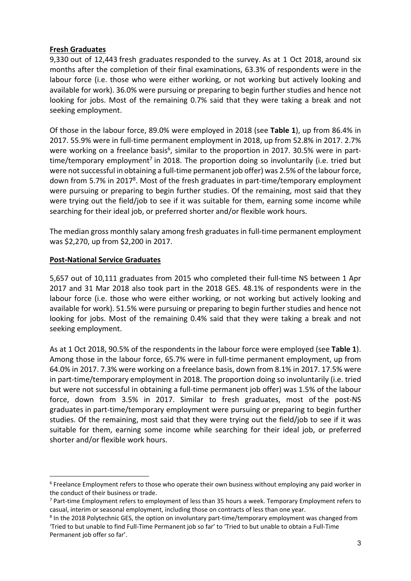## **Fresh Graduates**

9,330 out of 12,443 fresh graduates responded to the survey. As at 1 Oct 2018, around six months after the completion of their final examinations, 63.3% of respondents were in the labour force (i.e. those who were either working, or not working but actively looking and available for work). 36.0% were pursuing or preparing to begin further studies and hence not looking for jobs. Most of the remaining 0.7% said that they were taking a break and not seeking employment.

Of those in the labour force, 89.0% were employed in 2018 (see **Table 1**), up from 86.4% in 2017. 55.9% were in full‐time permanent employment in 2018, up from 52.8% in 2017. 2.7% were working on a freelance basis<sup>6</sup>, similar to the proportion in 2017. 30.5% were in parttime/temporary employment<sup>7</sup> in 2018. The proportion doing so involuntarily (i.e. tried but were not successful in obtaining a full-time permanent job offer) was 2.5% of the labour force, down from 5.7% in 20178. Most of the fresh graduates in part‐time/temporary employment were pursuing or preparing to begin further studies. Of the remaining, most said that they were trying out the field/job to see if it was suitable for them, earning some income while searching for their ideal job, or preferred shorter and/or flexible work hours.

The median gross monthly salary among fresh graduates in full-time permanent employment was \$2,270, up from \$2,200 in 2017.

## **Post‐National Service Graduates**

1

5,657 out of 10,111 graduates from 2015 who completed their full-time NS between 1 Apr 2017 and 31 Mar 2018 also took part in the 2018 GES. 48.1% of respondents were in the labour force (i.e. those who were either working, or not working but actively looking and available for work). 51.5% were pursuing or preparing to begin further studies and hence not looking for jobs. Most of the remaining 0.4% said that they were taking a break and not seeking employment.

As at 1 Oct 2018, 90.5% of the respondents in the labour force were employed (see **Table 1**). Among those in the labour force, 65.7% were in full‐time permanent employment, up from 64.0% in 2017. 7.3% were working on a freelance basis, down from 8.1% in 2017. 17.5% were in part-time/temporary employment in 2018. The proportion doing so involuntarily (i.e. tried but were not successful in obtaining a full‐time permanent job offer) was 1.5% of the labour force, down from 3.5% in 2017. Similar to fresh graduates, most of the post‐NS graduates in part-time/temporary employment were pursuing or preparing to begin further studies. Of the remaining, most said that they were trying out the field/job to see if it was suitable for them, earning some income while searching for their ideal job, or preferred shorter and/or flexible work hours.

<sup>&</sup>lt;sup>6</sup> Freelance Employment refers to those who operate their own business without employing any paid worker in the conduct of their business or trade.

<sup>&</sup>lt;sup>7</sup> Part-time Employment refers to employment of less than 35 hours a week. Temporary Employment refers to casual, interim or seasonal employment, including those on contracts of less than one year.

<sup>&</sup>lt;sup>8</sup> In the 2018 Polytechnic GES, the option on involuntary part-time/temporary employment was changed from 'Tried to but unable to find Full‐Time Permanent job so far' to 'Tried to but unable to obtain a Full‐Time Permanent job offer so far'.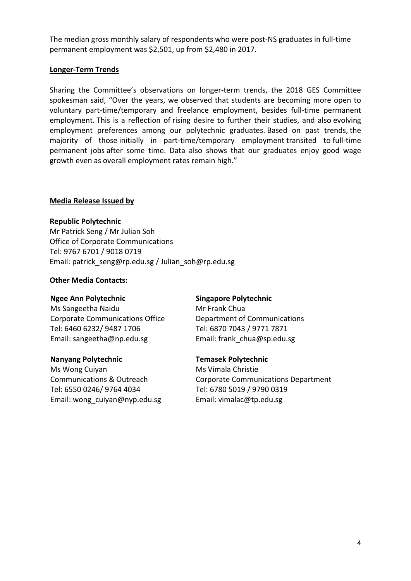The median gross monthly salary of respondents who were post‐NS graduates in full‐time permanent employment was \$2,501, up from \$2,480 in 2017.

## **Longer‐Term Trends**

Sharing the Committee's observations on longer-term trends, the 2018 GES Committee spokesman said, "Over the years, we observed that students are becoming more open to voluntary part‐time/temporary and freelance employment, besides full‐time permanent employment. This is a reflection of rising desire to further their studies, and also evolving employment preferences among our polytechnic graduates. Based on past trends, the majority of those initially in part-time/temporary employment transited to full-time permanent jobs after some time. Data also shows that our graduates enjoy good wage growth even as overall employment rates remain high."

### **Media Release Issued by**

## **Republic Polytechnic**

Mr Patrick Seng / Mr Julian Soh Office of Corporate Communications Tel: 9767 6701 / 9018 0719 Email: patrick\_seng@rp.edu.sg / Julian\_soh@rp.edu.sg

## **Other Media Contacts:**

### **Ngee Ann Polytechnic**

Ms Sangeetha Naidu Corporate Communications Office Tel: 6460 6232/ 9487 1706 Email: sangeetha@np.edu.sg

### **Nanyang Polytechnic**

Ms Wong Cuiyan Communications & Outreach Tel: 6550 0246/ 9764 4034 Email: wong\_cuiyan@nyp.edu.sg

# **Singapore Polytechnic**

Mr Frank Chua Department of Communications Tel: 6870 7043 / 9771 7871 Email: frank\_chua@sp.edu.sg

# **Temasek Polytechnic**

Ms Vimala Christie Corporate Communications Department Tel: 6780 5019 / 9790 0319 Email: vimalac@tp.edu.sg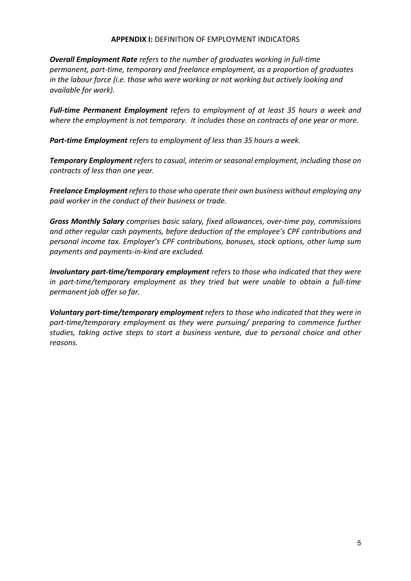#### **APPENDIX I:** DEFINITION OF EMPLOYMENT INDICATORS

*Overall Employment Rate refers to the number of graduates working in full‐time permanent, part‐time, temporary and freelance employment, as a proportion of graduates in the labour force (i.e. those who were working or not working but actively looking and available for work).*

*Full‐time Permanent Employment refers to employment of at least 35 hours a week and where the employment is not temporary. It includes those on contracts of one year or more.*

*Part‐time Employment refers to employment of less than 35 hours a week.* 

*Temporary Employment refers to casual, interim or seasonal employment, including those on contracts of less than one year.*

*Freelance Employment refersto those who operate their own business without employing any paid worker in the conduct of their business or trade.*

*Gross Monthly Salary comprises basic salary, fixed allowances, over‐time pay, commissions and other regular cash payments, before deduction of the employee's CPF contributions and personal income tax. Employer's CPF contributions, bonuses, stock options, other lump sum payments and payments‐in‐kind are excluded.* 

*Involuntary part‐time/temporary employment refers to those who indicated that they were in part‐time/temporary employment as they tried but were unable to obtain a full‐time permanent job offer so far.*

*Voluntary part‐time/temporary employment refers to those who indicated that they were in part‐time/temporary employment as they were pursuing/ preparing to commence further studies, taking active steps to start a business venture, due to personal choice and other reasons.*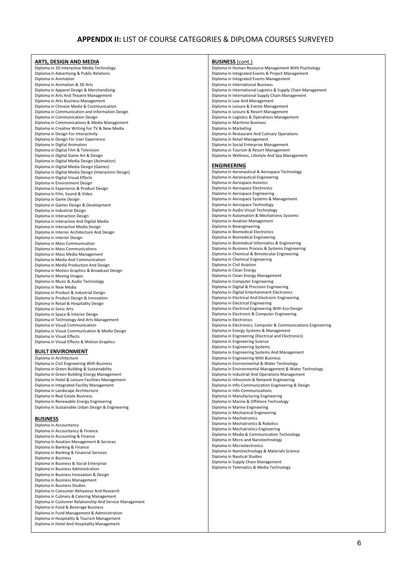## **APPENDIX II:** LIST OF COURSE CATEGORIES & DIPLOMA COURSES SURVEYED

| ARTS, DESIGN AND MEDIA                                        | <b>BUSINESS</b> (cont.)                                       |
|---------------------------------------------------------------|---------------------------------------------------------------|
| Diploma in 3D Interactive Media Technology                    | Diploma in Human Resource Management With Psychology          |
| Diploma in Advertising & Public Relations                     | Diploma in Integrated Events & Project Management             |
| Diploma in Animation                                          | Diploma in Integrated Events Management                       |
| Diploma in Animation & 3D Arts                                | Diploma in International Business                             |
| Diploma in Apparel Design & Merchandising                     | Diploma in International Logistics & Supply Chain Management  |
| Diploma in Arts And Theatre Management                        | Diploma in International Supply Chain Management              |
| Diploma in Arts Business Management                           | Diploma in Law And Management                                 |
| Diploma in Chinese Media & Communication                      | Diploma in Leisure & Events Management                        |
| Diploma in Communication and Information Design               | Diploma in Leisure & Resort Management                        |
| Diploma in Communication Design                               | Diploma in Logistics & Operations Management                  |
| Diploma in Communications & Media Management                  | Diploma in Maritime Business                                  |
| Diploma in Creative Writing For TV & New Media                | Diploma in Marketing                                          |
| Diploma in Design For Interactivity                           | Diploma in Restaurant And Culinary Operations                 |
| Diploma in Design For User Experience                         | Diploma in Retail Management                                  |
| Diploma in Digital Animation                                  | Diploma in Social Enterprise Management                       |
| Diploma in Digital Film & Television                          | Diploma in Tourism & Resort Management                        |
| Diploma in Digital Game Art & Design                          | Diploma in Wellness, Lifestyle And Spa Management             |
| Diploma in Digital Media Design (Animation)                   |                                                               |
| Diploma in Digital Media Design (Games)                       | <b>ENGINEERING</b>                                            |
| Diploma in Digital Media Design (Interaction Design)          | Diploma in Aeronautical & Aerospace Technology                |
| Diploma in Digital Visual Effects                             | Diploma in Aeronautical Engineering                           |
| Diploma in Environment Design                                 | Diploma in Aerospace Avionics                                 |
| Diploma in Experience & Product Design                        | Diploma in Aerospace Electronics                              |
| Diploma in Film, Sound & Video                                | Diploma in Aerospace Engineering                              |
| Diploma in Game Design                                        | Diploma in Aerospace Systems & Management                     |
| Diploma in Games Design & Development                         | Diploma in Aerospace Technology                               |
| Diploma in Industrial Design                                  | Diploma in Audio-Visual Technology                            |
| Diploma in Interaction Design                                 | Diploma in Automation & Mechatronic Systems                   |
| Diploma in Interactive And Digital Media                      | Diploma in Aviation Management                                |
| Diploma in Interactive Media Design                           | Diploma in Bioengineering                                     |
| Diploma in Interior Architecture And Design                   | Diploma in Biomedical Electronics                             |
| Diploma in Interior Design                                    | Diploma in Biomedical Engineering                             |
| Diploma in Mass Communication                                 | Diploma in Biomedical Informatics & Engineering               |
| Diploma in Mass Communications                                | Diploma in Business Process & Systems Engineering             |
| Diploma in Mass Media Management                              | Diploma in Chemical & Bimolecular Engineering                 |
| Diploma in Media And Communication                            | Diploma in Chemical Engineering                               |
| Diploma in Media Production And Design                        | Diploma in Civil Aviation                                     |
| Diploma in Motion Graphics & Broadcast Design                 | Diploma in Clean Energy                                       |
| Diploma in Moving Images                                      | Diploma in Clean Energy Management                            |
| Diploma in Music & Audio Technology                           | Diploma in Computer Engineering                               |
| Diploma in New Media                                          | Diploma in Digital & Precision Engineering                    |
| Diploma in Product & Industrial Design                        | Diploma in Digital Entertainment Electronics                  |
| Diploma in Product Design & Innovation                        | Diploma in Electrical And Electronic Engineering              |
| Diploma in Retail & Hospitality Design                        | Diploma in Electrical Engineering                             |
| Diploma in Sonic Arts                                         | Diploma in Electrical Engineering With Eco-Design             |
| Diploma in Space & Interior Design                            | Diploma in Electronic & Computer Engineering                  |
| Diploma in Technology And Arts Management                     | Diploma in Electronics                                        |
| Diploma in Visual Communication                               | Diploma in Electronics, Computer & Communications Engineering |
| Diploma in Visual Communication & Media Design                | Diploma in Energy Systems & Management                        |
| Diploma in Visual Effects                                     | Diploma in Engineering (Electrical and Electronics)           |
| Diploma in Visual Effects & Motion Graphics                   | Diploma in Engineering Science                                |
|                                                               | Diploma in Engineering Systems                                |
| <b>BUILT ENVIRONMENT</b>                                      | Diploma in Engineering Systems And Management                 |
| Diploma in Architecture                                       | Diploma in Engineering With Business                          |
| Diploma in Civil Engineering With Business                    | Diploma in Environmental & Water Technology                   |
| Diploma in Green Building & Sustainability                    | Diploma in Environmental Management & Water Technology        |
| Diploma in Green Building Energy Management                   | Diploma in Industrial And Operations Management               |
| Diploma in Hotel & Leisure Facilities Management              | Diploma in Infocomm & Network Engineering                     |
| Diploma in Integrated Facility Management                     | Diploma in Info-Communication Engineering & Design            |
| Diploma in Landscape Architecture                             | Diploma in Info-Communications                                |
| Diploma in Real Estate Business                               | Diploma in Manufacturing Engineering                          |
| Diploma in Renewable Energy Engineering                       | Diploma in Marine & Offshore Technology                       |
| Diploma in Sustainable Urban Design & Engineering             | Diploma in Marine Engineering                                 |
|                                                               | Diploma in Mechanical Engineering                             |
| <b>BUSINESS</b>                                               | Diploma in Mechatronics                                       |
| Diploma in Accountancy                                        | Diploma in Mechatronics & Robotics                            |
| Diploma in Accountancy & Finance                              | Diploma in Mechatronics Engineering                           |
|                                                               | Diploma in Media & Communication Technology                   |
| Diploma in Accounting & Finance                               | Diploma in Micro and Nanotechnology                           |
| Diploma in Aviation Management & Services                     | Diploma in Microelectronics                                   |
| Diploma in Banking & Finance                                  | Diploma in Nanotechnology & Materials Science                 |
| Diploma in Banking & Financial Services                       | Diploma in Nautical Studies                                   |
| Diploma in Business                                           | Diploma in Supply Chain Management                            |
| Diploma in Business & Social Enterprise                       | Diploma in Telematics & Media Technology                      |
| Diploma in Business Administration                            |                                                               |
| Diploma in Business Innovation & Design                       |                                                               |
| Diploma in Business Management<br>Diploma in Business Studies |                                                               |

Diploma in Consumer Behaviour And Research Diploma in Culinary & Catering Management Diploma in Customer Relationship And Service Management

Diploma in Food & Beverage Business Diploma in Fund Management & Administration Diploma in Hospitality & Tourism Management Diploma in Hotel And Hospitality Management